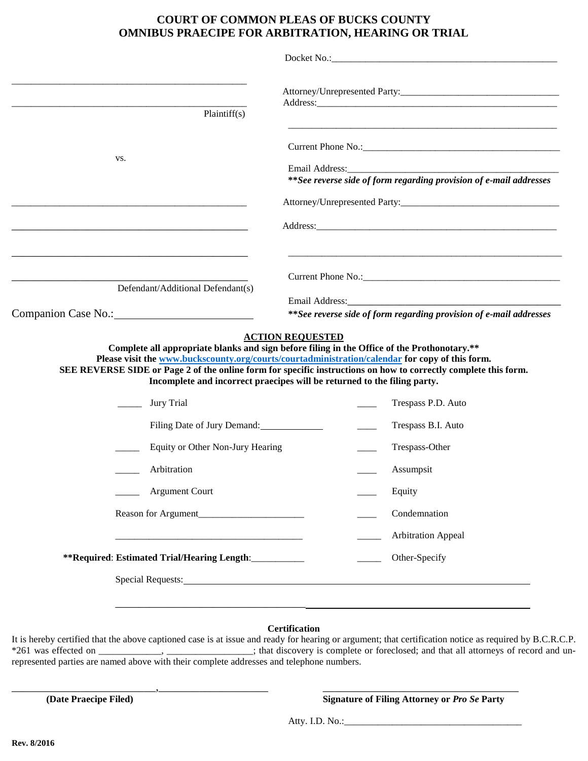## **COURT OF COMMON PLEAS OF BUCKS COUNTY OMNIBUS PRAECIPE FOR ARBITRATION, HEARING OR TRIAL**

| Plaintiff $(s)$<br>VS.<br>**See reverse side of form regarding provision of e-mail addresses<br>Defendant/Additional Defendant(s)<br>Email Address: 2008 and 2008 and 2008 and 2008 and 2008 and 2008 and 2008 and 2008 and 2008 and 2008 and 2008 and 2008 and 2008 and 2008 and 2008 and 2008 and 2008 and 2008 and 2008 and 2008 and 2008 and 2008 and 2008 and<br>**See reverse side of form regarding provision of e-mail addresses<br><b>ACTION REQUESTED</b><br>Complete all appropriate blanks and sign before filing in the Office of the Prothonotary.**<br>Please visit the www.buckscounty.org/courts/courtadministration/calendar for copy of this form.<br>SEE REVERSE SIDE or Page 2 of the online form for specific instructions on how to correctly complete this form.<br>Incomplete and incorrect praecipes will be returned to the filing party.<br><b>Jury Trial</b><br>Trespass P.D. Auto<br>Filing Date of Jury Demand:<br>Trespass B.I. Auto<br>Trespass-Other<br>Equity or Other Non-Jury Hearing<br>Arbitration<br>Assumpsit<br><b>Argument Court</b><br>Equity<br>Condemnation<br><b>Arbitration Appeal</b><br>**Required: Estimated Trial/Hearing Length:__________<br>Other-Specify |  |
|------------------------------------------------------------------------------------------------------------------------------------------------------------------------------------------------------------------------------------------------------------------------------------------------------------------------------------------------------------------------------------------------------------------------------------------------------------------------------------------------------------------------------------------------------------------------------------------------------------------------------------------------------------------------------------------------------------------------------------------------------------------------------------------------------------------------------------------------------------------------------------------------------------------------------------------------------------------------------------------------------------------------------------------------------------------------------------------------------------------------------------------------------------------------------------------------------------------|--|
| Companion Case No.:                                                                                                                                                                                                                                                                                                                                                                                                                                                                                                                                                                                                                                                                                                                                                                                                                                                                                                                                                                                                                                                                                                                                                                                              |  |
|                                                                                                                                                                                                                                                                                                                                                                                                                                                                                                                                                                                                                                                                                                                                                                                                                                                                                                                                                                                                                                                                                                                                                                                                                  |  |
|                                                                                                                                                                                                                                                                                                                                                                                                                                                                                                                                                                                                                                                                                                                                                                                                                                                                                                                                                                                                                                                                                                                                                                                                                  |  |
|                                                                                                                                                                                                                                                                                                                                                                                                                                                                                                                                                                                                                                                                                                                                                                                                                                                                                                                                                                                                                                                                                                                                                                                                                  |  |
|                                                                                                                                                                                                                                                                                                                                                                                                                                                                                                                                                                                                                                                                                                                                                                                                                                                                                                                                                                                                                                                                                                                                                                                                                  |  |
|                                                                                                                                                                                                                                                                                                                                                                                                                                                                                                                                                                                                                                                                                                                                                                                                                                                                                                                                                                                                                                                                                                                                                                                                                  |  |
|                                                                                                                                                                                                                                                                                                                                                                                                                                                                                                                                                                                                                                                                                                                                                                                                                                                                                                                                                                                                                                                                                                                                                                                                                  |  |
|                                                                                                                                                                                                                                                                                                                                                                                                                                                                                                                                                                                                                                                                                                                                                                                                                                                                                                                                                                                                                                                                                                                                                                                                                  |  |
|                                                                                                                                                                                                                                                                                                                                                                                                                                                                                                                                                                                                                                                                                                                                                                                                                                                                                                                                                                                                                                                                                                                                                                                                                  |  |
|                                                                                                                                                                                                                                                                                                                                                                                                                                                                                                                                                                                                                                                                                                                                                                                                                                                                                                                                                                                                                                                                                                                                                                                                                  |  |
|                                                                                                                                                                                                                                                                                                                                                                                                                                                                                                                                                                                                                                                                                                                                                                                                                                                                                                                                                                                                                                                                                                                                                                                                                  |  |
|                                                                                                                                                                                                                                                                                                                                                                                                                                                                                                                                                                                                                                                                                                                                                                                                                                                                                                                                                                                                                                                                                                                                                                                                                  |  |
|                                                                                                                                                                                                                                                                                                                                                                                                                                                                                                                                                                                                                                                                                                                                                                                                                                                                                                                                                                                                                                                                                                                                                                                                                  |  |
|                                                                                                                                                                                                                                                                                                                                                                                                                                                                                                                                                                                                                                                                                                                                                                                                                                                                                                                                                                                                                                                                                                                                                                                                                  |  |
|                                                                                                                                                                                                                                                                                                                                                                                                                                                                                                                                                                                                                                                                                                                                                                                                                                                                                                                                                                                                                                                                                                                                                                                                                  |  |
|                                                                                                                                                                                                                                                                                                                                                                                                                                                                                                                                                                                                                                                                                                                                                                                                                                                                                                                                                                                                                                                                                                                                                                                                                  |  |
|                                                                                                                                                                                                                                                                                                                                                                                                                                                                                                                                                                                                                                                                                                                                                                                                                                                                                                                                                                                                                                                                                                                                                                                                                  |  |
|                                                                                                                                                                                                                                                                                                                                                                                                                                                                                                                                                                                                                                                                                                                                                                                                                                                                                                                                                                                                                                                                                                                                                                                                                  |  |
|                                                                                                                                                                                                                                                                                                                                                                                                                                                                                                                                                                                                                                                                                                                                                                                                                                                                                                                                                                                                                                                                                                                                                                                                                  |  |
|                                                                                                                                                                                                                                                                                                                                                                                                                                                                                                                                                                                                                                                                                                                                                                                                                                                                                                                                                                                                                                                                                                                                                                                                                  |  |
|                                                                                                                                                                                                                                                                                                                                                                                                                                                                                                                                                                                                                                                                                                                                                                                                                                                                                                                                                                                                                                                                                                                                                                                                                  |  |
|                                                                                                                                                                                                                                                                                                                                                                                                                                                                                                                                                                                                                                                                                                                                                                                                                                                                                                                                                                                                                                                                                                                                                                                                                  |  |

## **Certification**

It is hereby certified that the above captioned case is at issue and ready for hearing or argument; that certification notice as required by B.C.R.C.P. \*261 was effected on \_\_\_\_\_\_\_\_\_\_\_, \_\_\_\_\_\_\_\_\_\_\_\_; that discovery is complete or foreclosed; and that all attorneys of record and unrepresented parties are named above with their complete addresses and telephone numbers.

\_\_\_\_\_\_\_\_\_\_\_\_\_\_\_\_\_\_\_\_\_\_\_\_\_,\_\_\_\_\_\_\_\_\_\_\_\_\_\_\_\_\_\_\_ \_\_\_\_\_\_\_\_\_\_\_\_\_\_\_\_\_\_\_\_\_\_\_\_\_\_\_\_\_\_\_\_\_\_

**(Date Praecipe Filed) Signature of Filing Attorney or** *Pro Se* **Party**